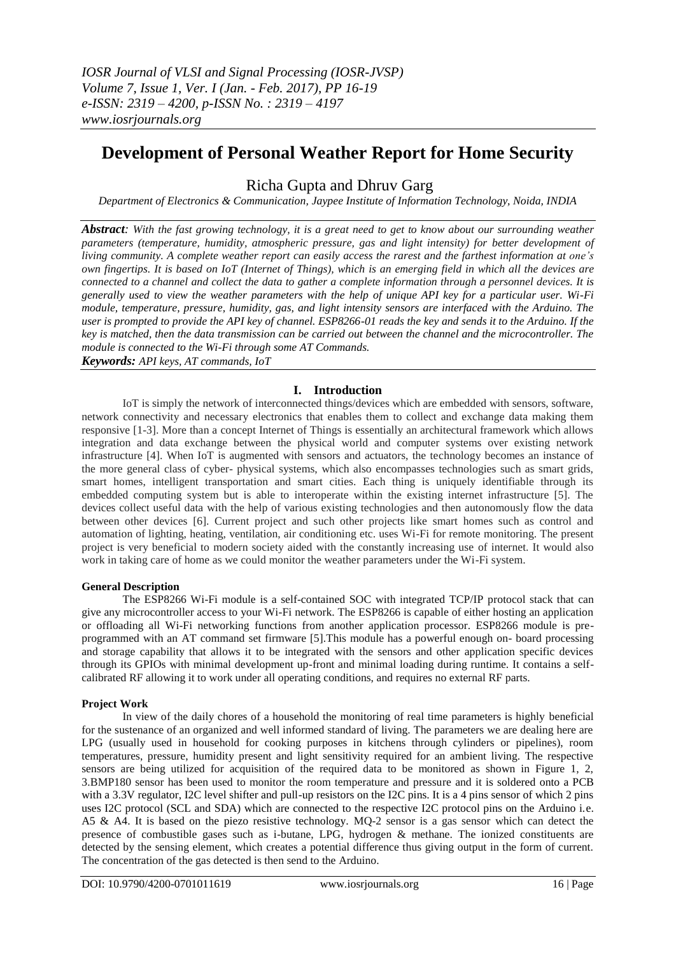# **Development of Personal Weather Report for Home Security**

Richa Gupta and Dhruv Garg

*Department of Electronics & Communication, Jaypee Institute of Information Technology, Noida, INDIA*

**Abstract:** With the fast growing technology, it is a great need to get to know about our surrounding weather *parameters (temperature, humidity, atmospheric pressure, gas and light intensity) for better development of* living community. A complete weather report can easily access the rarest and the farthest information at one's own fingertips. It is based on IoT (Internet of Things), which is an emerging field in which all the devices are connected to a channel and collect the data to gather a complete information through a personnel devices. It is *generally used to view the weather parameters with the help of unique API key for a particular user. Wi-Fi module, temperature, pressure, humidity, gas, and light intensity sensors are interfaced with the Arduino. The user is prompted to provide the API key of channel. ESP8266-01 reads the key and sends it to the Arduino. If the key is matched, then the data transmission can be carried out between the channel and the microcontroller. The module is connected to the Wi-Fi through some AT Commands.*

*Keywords: API keys, AT commands, IoT*

## **I. Introduction**

IoT is simply the network of interconnected things/devices which are embedded with sensors, software, network connectivity and necessary electronics that enables them to collect and exchange data making them responsive [1-3]. More than a concept Internet of Things is essentially an architectural framework which allows integration and data exchange between the physical world and computer systems over existing network infrastructure [4]. When IoT is augmented with sensors and actuators, the technology becomes an instance of the more general class of cyber- physical systems, which also encompasses technologies such as smart grids, smart homes, intelligent transportation and smart cities. Each thing is uniquely identifiable through its embedded computing system but is able to interoperate within the existing internet infrastructure [5]. The devices collect useful data with the help of various existing technologies and then autonomously flow the data between other devices [6]. Current project and such other projects like smart homes such as control and automation of lighting, heating, ventilation, air conditioning etc. uses Wi-Fi for remote monitoring. The present project is very beneficial to modern society aided with the constantly increasing use of internet. It would also work in taking care of home as we could monitor the weather parameters under the Wi-Fi system.

## **General Description**

The ESP8266 Wi-Fi module is a self-contained SOC with integrated TCP/IP protocol stack that can give any microcontroller access to your Wi-Fi network. The ESP8266 is capable of either hosting an application or offloading all Wi-Fi networking functions from another application processor. ESP8266 module is preprogrammed with an AT command set firmware [5].This module has a powerful enough on- board processing and storage capability that allows it to be integrated with the sensors and other application specific devices through its GPIOs with minimal development up-front and minimal loading during runtime. It contains a selfcalibrated RF allowing it to work under all operating conditions, and requires no external RF parts.

## **Project Work**

In view of the daily chores of a household the monitoring of real time parameters is highly beneficial for the sustenance of an organized and well informed standard of living. The parameters we are dealing here are LPG (usually used in household for cooking purposes in kitchens through cylinders or pipelines), room temperatures, pressure, humidity present and light sensitivity required for an ambient living. The respective sensors are being utilized for acquisition of the required data to be monitored as shown in Figure 1, 2, 3.BMP180 sensor has been used to monitor the room temperature and pressure and it is soldered onto a PCB with a 3.3V regulator, I2C level shifter and pull-up resistors on the I2C pins. It is a 4 pins sensor of which 2 pins uses I2C protocol (SCL and SDA) which are connected to the respective I2C protocol pins on the Arduino i.e. A5 & A4. It is based on the piezo resistive technology. MQ-2 sensor is a gas sensor which can detect the presence of combustible gases such as i-butane, LPG, hydrogen & methane. The ionized constituents are detected by the sensing element, which creates a potential difference thus giving output in the form of current. The concentration of the gas detected is then send to the Arduino.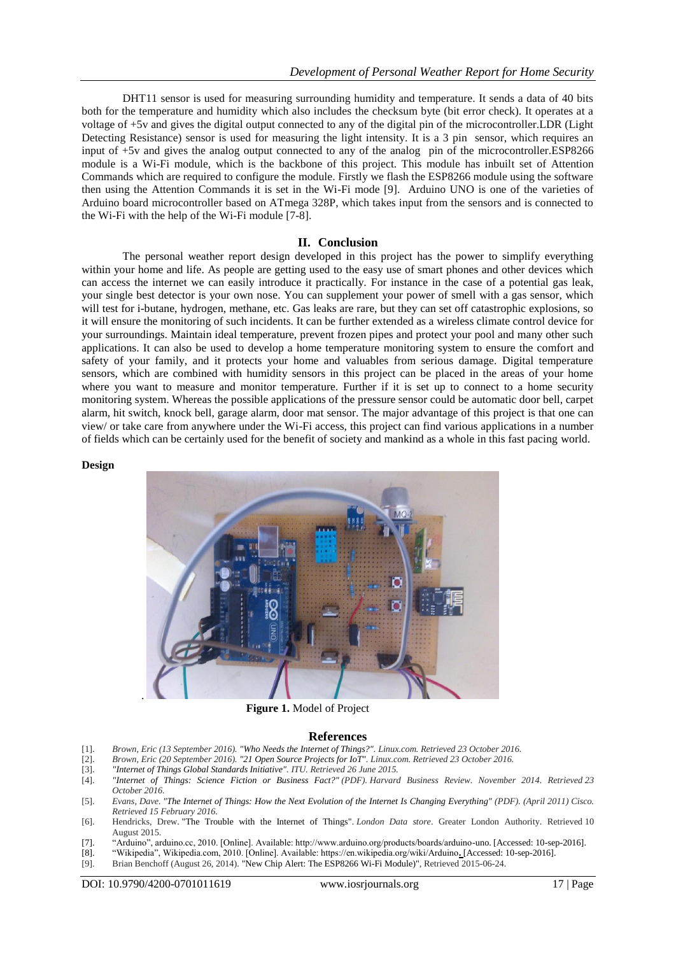DHT11 sensor is used for measuring surrounding humidity and temperature. It sends a data of 40 bits both for the temperature and humidity which also includes the checksum byte (bit error check). It operates at a voltage of +5v and gives the digital output connected to any of the digital pin of the microcontroller.LDR (Light Detecting Resistance) sensor is used for measuring the light intensity. It is a 3 pin sensor, which requires an input of +5v and gives the analog output connected to any of the analog pin of the microcontroller.ESP8266 module is a Wi-Fi module, which is the backbone of this project. This module has inbuilt set of Attention Commands which are required to configure the module. Firstly we flash the ESP8266 module using the software then using the Attention Commands it is set in the Wi-Fi mode [9]. Arduino UNO is one of the varieties of Arduino board microcontroller based on ATmega 328P, which takes input from the sensors and is connected to the Wi-Fi with the help of the Wi-Fi module [7-8].

#### **II. Conclusion**

The personal weather report design developed in this project has the power to simplify everything within your home and life. As people are getting used to the easy use of smart phones and other devices which can access the internet we can easily introduce it practically. For instance in the case of a potential gas leak, your single best detector is your own nose. You can supplement your power of smell with a gas sensor, which will test for i-butane, hydrogen, methane, etc. Gas leaks are rare, but they can set off catastrophic explosions, so it will ensure the monitoring of such incidents. It can be further extended as a wireless climate control device for your surroundings. Maintain ideal temperature, prevent frozen pipes and protect your pool and many other such applications. It can also be used to develop a home temperature monitoring system to ensure the comfort and safety of your family, and it protects your home and valuables from serious damage. Digital temperature sensors, which are combined with humidity sensors in this project can be placed in the areas of your home where you want to measure and monitor temperature. Further if it is set up to connect to a home security monitoring system. Whereas the possible applications of the pressure sensor could be automatic door bell, carpet alarm, hit switch, knock bell, garage alarm, door mat sensor. The major advantage of this project is that one can view/ or take care from anywhere under the Wi-Fi access, this project can find various applications in a number of fields which can be certainly used for the benefit of society and mankind as a whole in this fast pacing world.

#### **Design**



 **Figure 1.** Model of Project

#### **References**

- [1]. *Brown, Eric (13 September 2016). "Who Needs the Internet of Things?". Linux.com. Retrieved 23 October 2016.*
- [2]. *Brown, Eric (20 September 2016). "21 Open Source Projects for IoT". Linux.com. Retrieved 23 October 2016.*
- [3]. *"Internet of Things Global Standards Initiative". ITU. Retrieved 26 June 2015.*
- [4]. *"Internet of Things: Science Fiction or Business Fact?" (PDF). Harvard Business Review. November 2014. Retrieved 23 October 2016.*
- [5]. *Evans, Dave. "The Internet of Things: How the Next Evolution of the Internet Is Changing Everything" (PDF). (April 2011) Cisco. Retrieved 15 February 2016.*
- [6]. Hendricks, Drew. "The Trouble with the Internet of Things". *London Data store*. Greater London Authority. Retrieved 10 August 2015.
- [7]. "Arduino", arduino.cc, 2010. [Online]. Available: http://www.arduino.org/products/boards/arduino-uno. [Accessed: 10-sep-2016].
- [8]. "Wikipedia", Wikipedia.com, 2010. [Online]. Available: https://en.wikipedia.org/wiki/Arduino**.** [Accessed: 10-sep-2016].
- Brian Benchoff (August 26, 2014). "New Chip Alert: The ESP8266 Wi-Fi Module)", Retrieved 2015-06-24.

DOI: 10.9790/4200-0701011619 www.iosrjournals.org 17 | Page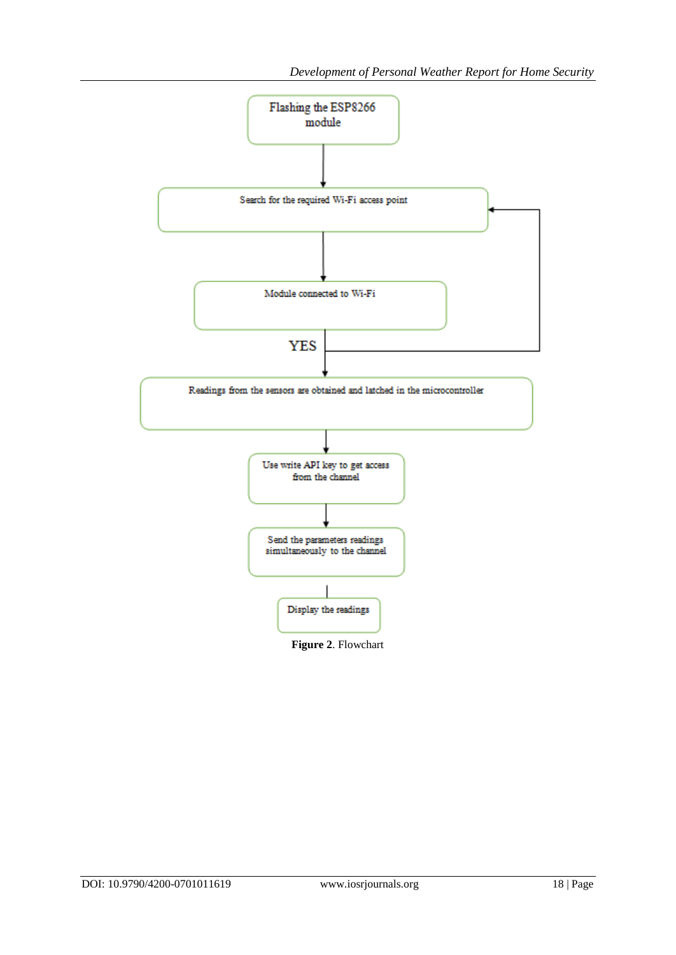